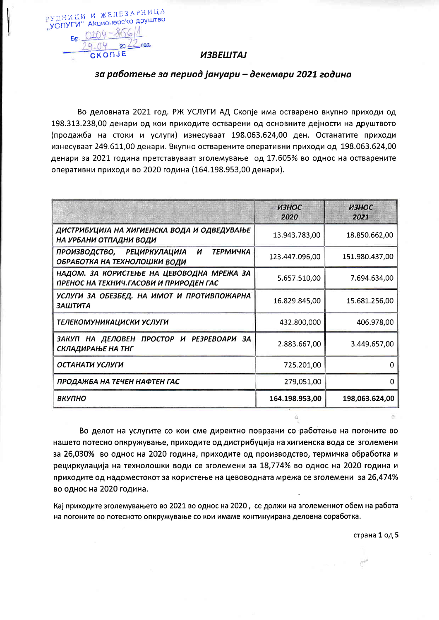# **ИЗВЕШТАЈ**

РУДНИЦИ И ЖЕЛЕЗАРНИЦА "УСЛУГИ" Акционерско друштво  $50.0204 - $661$ 29.04  $20 \angle$  rog. CKONJE

## за работење за период јануари – декември 2021 година

Во деловната 2021 год. РЖ УСЛУГИ АД Скопје има остварено вкупно приходи од 198.313.238,00 денари од кои приходите остварени од основните дејности на друштвото (продажба на стоки и услуги) изнесуваат 198.063.624,00 ден. Останатите приходи изнесуваат 249.611,00 денари. Вкупно остварените оперативни приходи од 198.063.624,00 денари за 2021 година претставуваат зголемување од 17.605% во однос на остварените оперативни приходи во 2020 година (164.198.953,00 денари).

|                                                                                      | <b>ИЗНОС</b><br>2020 | <b>ИЗНОС</b><br>2021 |
|--------------------------------------------------------------------------------------|----------------------|----------------------|
| ДИСТРИБУЦИЈА НА ХИГИЕНСКА ВОДА И ОДВЕДУВАЊЕ<br>НА УРБАНИ ОТПАДНИ ВОДИ                | 13.943.783,00        | 18.850.662,00        |
| <b>ТЕРМИЧКА</b><br>ПРОИЗВОДСТВО, РЕЦИРКУЛАЦИЈА И<br>ОБРАБОТКА НА ТЕХНОЛОШКИ ВОДИ     | 123.447.096,00       | 151.980.437,00       |
| НАДОМ. ЗА КОРИСТЕЊЕ НА ЦЕВОВОДНА МРЕЖА ЗА<br>ПРЕНОС НА ТЕХНИЧ. ГАСОВИ И ПРИРОДЕН ГАС | 5.657.510,00         | 7.694.634,00         |
| УСЛУГИ ЗА ОБЕЗБЕД. НА ИМОТ И ПРОТИВПОЖАРНА<br><b>ЗАШТИТА</b>                         | 16.829.845,00        | 15.681.256,00        |
| ТЕЛЕКОМУНИКАЦИСКИ УСЛУГИ                                                             | 432.800,000          | 406.978,00           |
| ЗАКУП НА ДЕЛОВЕН ПРОСТОР И РЕЗРЕВОАРИ ЗА<br>СКЛАДИРАЊЕ НА ТНГ                        | 2.883.667,00         | 3.449.657,00         |
| ОСТАНАТИ УСЛУГИ                                                                      | 725.201,00           | O                    |
| ПРОДАЖБА НА ТЕЧЕН НАФТЕН ГАС                                                         | 279,051,00           | n                    |
| ВКУПНО                                                                               | 164.198.953,00       | 198,063.624,00       |

Во делот на услугите со кои сме директно поврзани со работење на погоните во нашето потесно опкружување, приходите од дистрибуција на хигиенска вода се зголемени за 26,030% во однос на 2020 година, приходите од производство, термичка обработка и рециркулација на технолошки води се зголемени за 18,774% во однос на 2020 година и приходите од надоместокот за користење на цевоводната мрежа се зголемени за 26,474% во однос на 2020 година.

Кај приходите зголемувањето во 2021 во однос на 2020, се должи на зголемениот обем на работа на погоните во потесното опкружување со кои имаме континуирана деловна соработка.

страна 1 од 5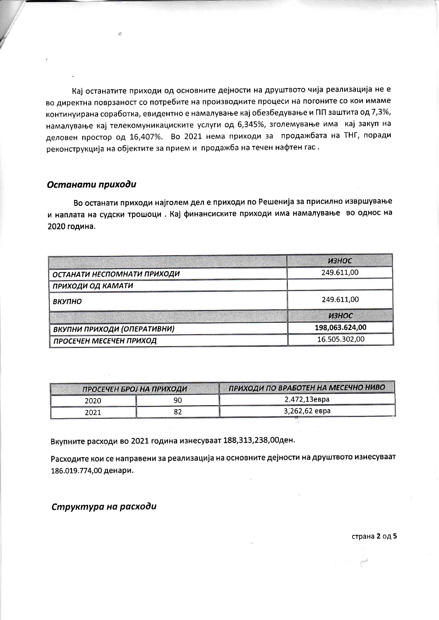Кај останатите приходи од основните дејности на друштвото чија реализација не е во директна поврзаност со потребите на производните процеси на погоните со кои имаме континуирана соработка, евидентно е намалување кај обезбедување и ПП заштита од 7,3%, намалување кај телекомуникациските услуги од 6,345%, зголемување има кај закуп на деловен простор од 16,407%. Во 2021 нема приходи за продажбата на ТНГ, поради реконструкција на објектите за прием и продажба на течен нафтен гас.

#### Останати приходи

Во останати приходи најголем дел е приходи по Решенија за присилно извршување и наплата на судски трошоци. Кај финансиските приходи има намалување во однос на 2020 година.

|                             | ИЗНОС          |
|-----------------------------|----------------|
| ОСТАНАТИ НЕСПОМНАТИ ПРИХОДИ | 249.611,00     |
| ПРИХОДИ ОД КАМАТИ           |                |
| ВКУПНО                      | 249.611,00     |
|                             | <b>ИЗНОС</b>   |
| ВКУПНИ ПРИХОДИ (ОПЕРАТИВНИ) | 198,063.624,00 |
| ПРОСЕЧЕН МЕСЕЧЕН ПРИХОД     | 16.505.302,00  |

| ПРОСЕЧЕН БРОЈ НА ПРИХОДИ |    | ПРИХОДИ ПО ВРАБОТЕН НА МЕСЕЧНО НИВО |  |
|--------------------------|----|-------------------------------------|--|
| 2020                     | 90 | 2.472,13евра                        |  |
| 2021                     |    | 3,262,62 евра                       |  |

Вкупните расходи во 2021 година изнесуваат 188,313,238,00ден.

Расходите кои се направени за реализација на основните дејности на друштвото изнесуваат 186.019.774,00 денари.

Структура на расходи

страна 2 од 5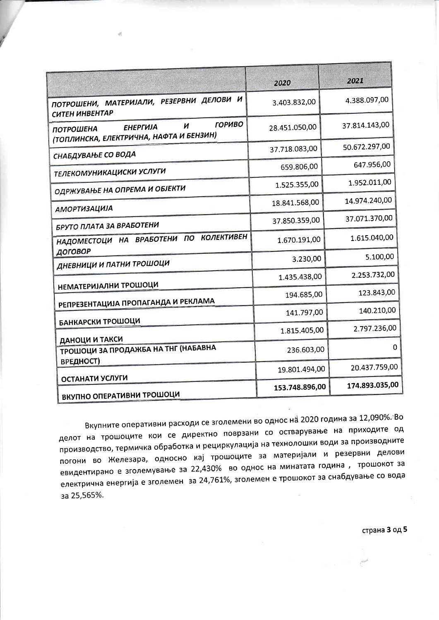|                                                                                                      | 2020           | 2021           |
|------------------------------------------------------------------------------------------------------|----------------|----------------|
| ПОТРОШЕНИ, МАТЕРИЈАЛИ, РЕЗЕРВНИ ДЕЛОВИ И<br>СИТЕН ИНВЕНТАР                                           | 3.403.832,00   | 4.388.097,00   |
| <b>ГОРИВО</b><br>И<br><b>ЕНЕРГИЈА</b><br><b>ПОТРОШЕНА</b><br>(ТОПЛИНСКА, ЕЛЕКТРИЧНА, НАФТА И БЕНЗИН) | 28.451.050,00  | 37.814.143,00  |
| СНАБДУВАЊЕ СО ВОДА                                                                                   | 37.718.083,00  | 50.672.297,00  |
| <b>ТЕЛЕКОМУНИКАЦИСКИ УСЛУГИ</b>                                                                      | 659.806,00     | 647.956,00     |
| ОДРЖУВАЊЕ НА ОПРЕМА И ОБЈЕКТИ                                                                        | 1.525.355,00   | 1.952.011,00   |
| <b>АМОРТИЗАЦИЈА</b>                                                                                  | 18.841.568,00  | 14.974.240,00  |
| БРУТО ПЛАТА ЗА ВРАБОТЕНИ                                                                             | 37.850.359,00  | 37.071.370,00  |
| <b>КОЛЕКТИВЕН</b><br>НАДОМЕСТОЦИ НА ВРАБОТЕНИ ПО<br>ДОГОВОР                                          | 1.670.191,00   | 1.615.040,00   |
| ДНЕВНИЦИ И ПАТНИ ТРОШОЦИ                                                                             | 3.230,00       | 5.100,00       |
| <b>НЕМАТЕРИЈАЛНИ ТРОШОЦИ</b>                                                                         | 1.435.438,00   | 2.253.732,00   |
| РЕПРЕЗЕНТАЦИЈА ПРОПАГАНДА И РЕКЛАМА                                                                  | 194.685,00     | 123.843,00     |
|                                                                                                      | 141.797,00     | 140.210,00     |
| БАНКАРСКИ ТРОШОЦИ                                                                                    | 1.815.405,00   | 2.797.236,00   |
| ДАНОЦИ И ТАКСИ<br>ТРОШОЦИ ЗА ПРОДАЖБА НА ТНГ (НАБАВНА<br>ВРЕДНОСТ)                                   | 236.603,00     | 0              |
| ОСТАНАТИ УСЛУГИ                                                                                      | 19.801.494,00  | 20.437.759,00  |
| ВКУПНО ОПЕРАТИВНИ ТРОШОЦИ                                                                            | 153.748.896,00 | 174.893.035,00 |

Вкупните оперативни расходи се зголемени во однос на 2020 година за 12,090%. Во делот на трошоците кои се директно поврзани со остварување на приходите од производство, термичка обработка и рециркулација на технолошки води за производните погони во Железара, односно кај трошоците за материјали и резервни делови евидентирано е зголемување за 22,430% во однос на минатата година, трошокот за електрична енергија е зголемен за 24,761%, зголемен е трошокот за снабдување со вода за 25,565%.

страна 3 од 5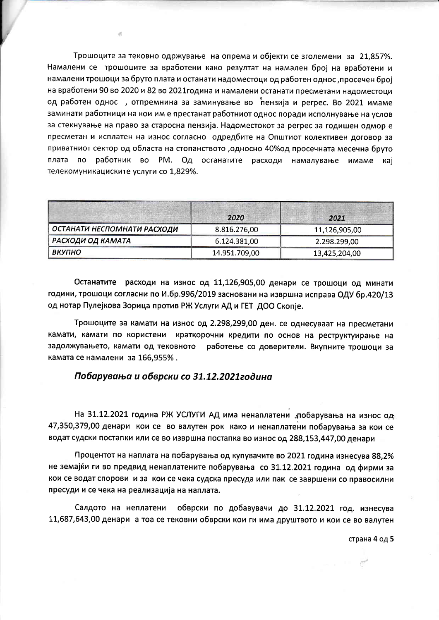Трошоците за тековно одржување на опрема и објекти се зголемени за 21,857%. Намалени се трошоците за вработени како резултат на намален број на вработени и намалени трошоци за бруто плата и останати надоместоци од работен однос, просечен број на вработени 90 во 2020 и 82 во 2021 година и намалени останати пресметани надоместоци од работен однос, отпремнина за заминување во пензија и регрес. Во 2021 имаме заминати работници на кои им е престанат работниот однос поради исполнување на услов за стекнување на право за старосна пензија. Надоместокот за регрес за годишен одмор е пресметан и исплатен на износ согласно одредбите на Општиот колективен договор за приватниот сектор од областа на стопанството ,односно 40% од просечната месечна бруто плата по работник во РМ. Од останатите расходи намалување имаме кај телекомуникациските услуги со 1,829%.

贞

|                             | 2020          | 2021          |
|-----------------------------|---------------|---------------|
| ОСТАНАТИ НЕСПОМНАТИ РАСХОДИ | 8.816.276,00  | 11,126,905,00 |
| РАСХОДИ ОД КАМАТА           | 6.124.381,00  | 2.298.299,00  |
| ВКУПНО                      | 14.951.709,00 | 13,425,204,00 |

Останатите расходи на износ од 11,126,905,00 денари се трошоци од минати години, трошоци согласни по И.бр.996/2019 засновани на извршна исправа ОДУ бр.420/13 од нотар Пулејкова Зорица против РЖ Услуги АД и ГЕТ ДОО Скопје.

Трошоците за камати на износ од 2.298,299,00 ден. се однесуваат на пресметани камати, камати по користени краткорочни кредити по основ на реструктуирање на задолжувањето, камати од тековното работење со доверители. Вкупните трошоци за камата се намалени за 166,955%.

### Побарувања и обврски со 31.12.2021година

На 31.12.2021 година РЖ УСЛУГИ АД има ненаплатени "побарувања на износ од 47,350,379,00 денари кои се во валутен рок како и ненаплатени побарувања за кои се водат судски постапки или се во извршна постапка во износ од 288,153,447,00 денари

Процентот на наплата на побарувања од купувачите во 2021 година изнесува 88,2% не земајќи ги во предвид ненаплатените побарувања со 31.12.2021 година од фирми за кои се водат спорови и за кои се чека судска пресуда или пак се завршени со правосилни пресуди и се чека на реализација на наплата.

Салдото на неплатени собврски по добавувачи до 31.12.2021 год. изнесува 11,687,643,00 денари а тоа се тековни обврски кои ги има друштвото и кои се во валутен

страна 4 од 5